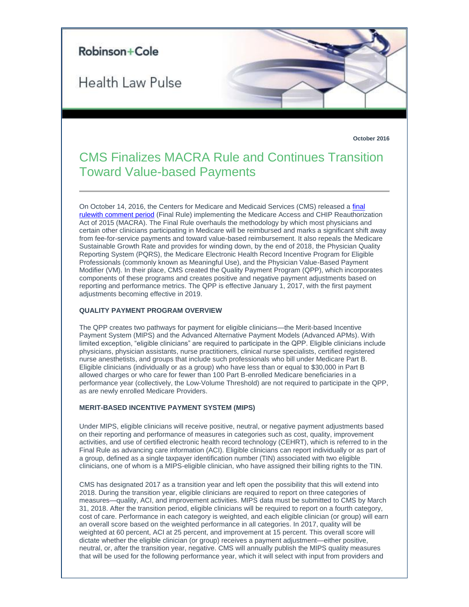

**October 2016**

# CMS Finalizes MACRA Rule and Continues Transition Toward Value-based Payments

On October 14, 2016, the Centers for Medicare and Medicaid Services (CMS) released a [final](https://qpp.cms.gov/docs/CMS-5517-FC.pdf)  [rulewith comment period](https://qpp.cms.gov/docs/CMS-5517-FC.pdf) (Final Rule) implementing the Medicare Access and CHIP Reauthorization Act of 2015 (MACRA). The Final Rule overhauls the methodology by which most physicians and certain other clinicians participating in Medicare will be reimbursed and marks a significant shift away from fee-for-service payments and toward value-based reimbursement. It also repeals the Medicare Sustainable Growth Rate and provides for winding down, by the end of 2018, the Physician Quality Reporting System (PQRS), the Medicare Electronic Health Record Incentive Program for Eligible Professionals (commonly known as Meaningful Use), and the Physician Value-Based Payment Modifier (VM). In their place, CMS created the Quality Payment Program (QPP), which incorporates components of these programs and creates positive and negative payment adjustments based on reporting and performance metrics. The QPP is effective January 1, 2017, with the first payment adjustments becoming effective in 2019.

## **QUALITY PAYMENT PROGRAM OVERVIEW**

The QPP creates two pathways for payment for eligible clinicians—the Merit-based Incentive Payment System (MIPS) and the Advanced Alternative Payment Models (Advanced APMs). With limited exception, "eligible clinicians" are required to participate in the QPP. Eligible clinicians include physicians, physician assistants, nurse practitioners, clinical nurse specialists, certified registered nurse anesthetists, and groups that include such professionals who bill under Medicare Part B. Eligible clinicians (individually or as a group) who have less than or equal to \$30,000 in Part B allowed charges or who care for fewer than 100 Part B-enrolled Medicare beneficiaries in a performance year (collectively, the Low-Volume Threshold) are not required to participate in the QPP, as are newly enrolled Medicare Providers.

## **MERIT-BASED INCENTIVE PAYMENT SYSTEM (MIPS)**

Under MIPS, eligible clinicians will receive positive, neutral, or negative payment adjustments based on their reporting and performance of measures in categories such as cost, quality, improvement activities, and use of certified electronic health record technology (CEHRT), which is referred to in the Final Rule as advancing care information (ACI). Eligible clinicians can report individually or as part of a group, defined as a single taxpayer identification number (TIN) associated with two eligible clinicians, one of whom is a MIPS-eligible clinician, who have assigned their billing rights to the TIN.

CMS has designated 2017 as a transition year and left open the possibility that this will extend into 2018. During the transition year, eligible clinicians are required to report on three categories of measures—quality, ACI, and improvement activities. MIPS data must be submitted to CMS by March 31, 2018. After the transition period, eligible clinicians will be required to report on a fourth category, cost of care. Performance in each category is weighted, and each eligible clinician (or group) will earn an overall score based on the weighted performance in all categories. In 2017, quality will be weighted at 60 percent, ACI at 25 percent, and improvement at 15 percent. This overall score will dictate whether the eligible clinician (or group) receives a payment adjustment—either positive, neutral, or, after the transition year, negative. CMS will annually publish the MIPS quality measures that will be used for the following performance year, which it will select with input from providers and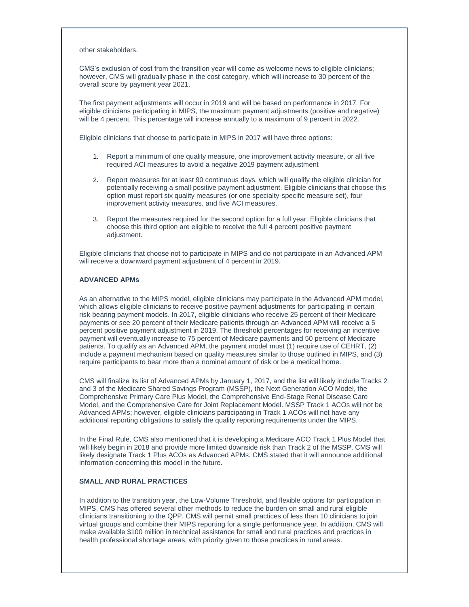other stakeholders.

CMS's exclusion of cost from the transition year will come as welcome news to eligible clinicians; however, CMS will gradually phase in the cost category, which will increase to 30 percent of the overall score by payment year 2021.

The first payment adjustments will occur in 2019 and will be based on performance in 2017. For eligible clinicians participating in MIPS, the maximum payment adjustments (positive and negative) will be 4 percent. This percentage will increase annually to a maximum of 9 percent in 2022.

Eligible clinicians that choose to participate in MIPS in 2017 will have three options:

- 1. Report a minimum of one quality measure, one improvement activity measure, or all five required ACI measures to avoid a negative 2019 payment adjustment
- 2. Report measures for at least 90 continuous days, which will qualify the eligible clinician for potentially receiving a small positive payment adjustment. Eligible clinicians that choose this option must report six quality measures (or one specialty-specific measure set), four improvement activity measures, and five ACI measures.
- 3. Report the measures required for the second option for a full year. Eligible clinicians that choose this third option are eligible to receive the full 4 percent positive payment adjustment.

Eligible clinicians that choose not to participate in MIPS and do not participate in an Advanced APM will receive a downward payment adjustment of 4 percent in 2019.

#### **ADVANCED APMs**

As an alternative to the MIPS model, eligible clinicians may participate in the Advanced APM model, which allows eligible clinicians to receive positive payment adjustments for participating in certain risk-bearing payment models. In 2017, eligible clinicians who receive 25 percent of their Medicare payments or see 20 percent of their Medicare patients through an Advanced APM will receive a 5 percent positive payment adjustment in 2019. The threshold percentages for receiving an incentive payment will eventually increase to 75 percent of Medicare payments and 50 percent of Medicare patients. To qualify as an Advanced APM, the payment model must (1) require use of CEHRT, (2) include a payment mechanism based on quality measures similar to those outlined in MIPS, and (3) require participants to bear more than a nominal amount of risk or be a medical home.

CMS will finalize its list of Advanced APMs by January 1, 2017, and the list will likely include Tracks 2 and 3 of the Medicare Shared Savings Program (MSSP), the Next Generation ACO Model, the Comprehensive Primary Care Plus Model, the Comprehensive End-Stage Renal Disease Care Model, and the Comprehensive Care for Joint Replacement Model. MSSP Track 1 ACOs will not be Advanced APMs; however, eligible clinicians participating in Track 1 ACOs will not have any additional reporting obligations to satisfy the quality reporting requirements under the MIPS.

In the Final Rule, CMS also mentioned that it is developing a Medicare ACO Track 1 Plus Model that will likely begin in 2018 and provide more limited downside risk than Track 2 of the MSSP. CMS will likely designate Track 1 Plus ACOs as Advanced APMs. CMS stated that it will announce additional information concerning this model in the future.

#### **SMALL AND RURAL PRACTICES**

In addition to the transition year, the Low-Volume Threshold, and flexible options for participation in MIPS, CMS has offered several other methods to reduce the burden on small and rural eligible clinicians transitioning to the QPP. CMS will permit small practices of less than 10 clinicians to join virtual groups and combine their MIPS reporting for a single performance year. In addition, CMS will make available \$100 million in technical assistance for small and rural practices and practices in health professional shortage areas, with priority given to those practices in rural areas.